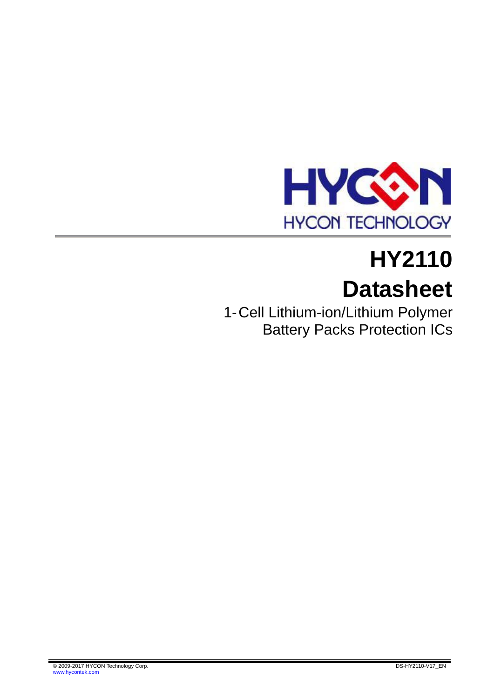

# **HY2110 Datasheet**

1-Cell Lithium-ion/Lithium Polymer Battery Packs Protection ICs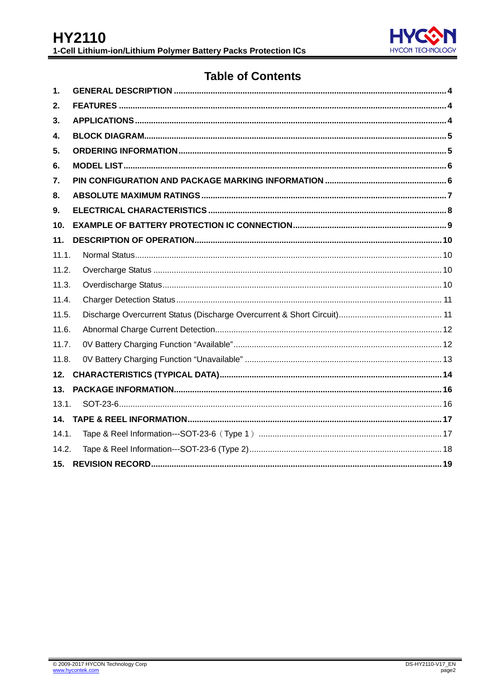

# **Table of Contents**

| 1.    |  |
|-------|--|
| 2.    |  |
| 3.    |  |
| 4.    |  |
| 5.    |  |
| 6.    |  |
| 7.    |  |
| 8.    |  |
| 9.    |  |
| 10.   |  |
| 11.   |  |
| 11.1. |  |
| 11.2. |  |
| 11.3. |  |
| 11.4. |  |
| 11.5. |  |
| 11.6. |  |
| 11.7. |  |
| 11.8. |  |
| 12.   |  |
| 13.   |  |
| 13.1. |  |
|       |  |
| 14.1. |  |
| 14.2. |  |
| 15.   |  |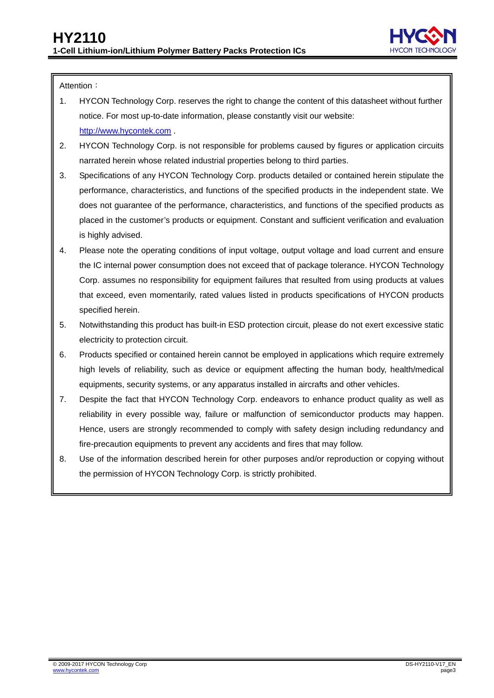

Attention:

- 1. HYCON Technology Corp. reserves the right to change the content of this datasheet without further notice. For most up-to-date information, please constantly visit our website: [http://www.hycontek.com](http://www.hycontek.com/) .
- 2. HYCON Technology Corp. is not responsible for problems caused by figures or application circuits narrated herein whose related industrial properties belong to third parties.
- 3. Specifications of any HYCON Technology Corp. products detailed or contained herein stipulate the performance, characteristics, and functions of the specified products in the independent state. We does not guarantee of the performance, characteristics, and functions of the specified products as placed in the customer's products or equipment. Constant and sufficient verification and evaluation is highly advised.
- 4. Please note the operating conditions of input voltage, output voltage and load current and ensure the IC internal power consumption does not exceed that of package tolerance. HYCON Technology Corp. assumes no responsibility for equipment failures that resulted from using products at values that exceed, even momentarily, rated values listed in products specifications of HYCON products specified herein.
- 5. Notwithstanding this product has built-in ESD protection circuit, please do not exert excessive static electricity to protection circuit.
- 6. Products specified or contained herein cannot be employed in applications which require extremely .high levels of reliability, such as device or equipment affecting the human body, health/medical equipments, security systems, or any apparatus installed in aircrafts and other vehicles.
- 7. Despite the fact that HYCON Technology Corp. endeavors to enhance product quality as well as reliability in every possible way, failure or malfunction of semiconductor products may happen. Hence, users are strongly recommended to comply with safety design including redundancy and fire-precaution equipments to prevent any accidents and fires that may follow.
- 8. Use of the information described herein for other purposes and/or reproduction or copying without the permission of HYCON Technology Corp. is strictly prohibited.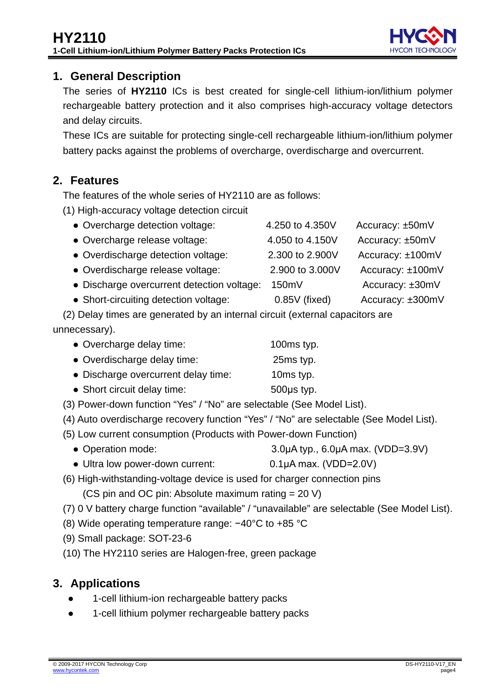

## <span id="page-3-0"></span>**1. General Description**

The series of **HY2110** ICs is best created for single-cell lithium-ion/lithium polymer rechargeable battery protection and it also comprises high-accuracy voltage detectors and delay circuits.

These ICs are suitable for protecting single-cell rechargeable lithium-ion/lithium polymer battery packs against the problems of overcharge, overdischarge and overcurrent.

# <span id="page-3-1"></span>**2. Features**

The features of the whole series of HY2110 are as follows:

(1) High-accuracy voltage detection circuit

| • Overcharge detection voltage:            | 4.250 to 4.350V | Accuracy: ±50mV  |
|--------------------------------------------|-----------------|------------------|
| • Overcharge release voltage:              | 4.050 to 4.150V | Accuracy: ±50mV  |
| • Overdischarge detection voltage:         | 2.300 to 2.900V | Accuracy: ±100mV |
| • Overdischarge release voltage:           | 2.900 to 3.000V | Accuracy: ±100mV |
| • Discharge overcurrent detection voltage: | 150mV           | Accuracy: ±30mV  |
| • Short-circuiting detection voltage:      | $0.85V$ (fixed) | Accuracy: ±300mV |

(2) Delay times are generated by an internal circuit (external capacitors are unnecessary).

| • Overcharge delay time:            | 100ms typ. |
|-------------------------------------|------------|
| • Overdischarge delay time:         | 25ms typ.  |
| • Discharge overcurrent delay time: | 10ms typ.  |

- Short circuit delay time: 500μs typ.
- (3) Power-down function "Yes" / "No" are selectable (See Model List).
- (4) Auto overdischarge recovery function "Yes" / "No" are selectable (See Model List).
- (5) Low current consumption (Products with Power-down Function)
	- Operation mode: 3.0μA typ., 6.0μA max. (VDD=3.9V)
	- Ultra low power-down current: 0.1μA max. (VDD=2.0V)
- (6) High-withstanding-voltage device is used for charger connection pins
	- (CS pin and OC pin: Absolute maximum rating = 20 V)
- (7) 0 V battery charge function "available" / "unavailable" are selectable (See Model List).
- (8) Wide operating temperature range: −40°C to +85 °C
- (9) Small package: SOT-23-6
- (10) The HY2110 series are Halogen-free, green package

## <span id="page-3-2"></span>**3. Applications**

- 1-cell lithium-ion rechargeable battery packs
- 1-cell lithium polymer rechargeable battery packs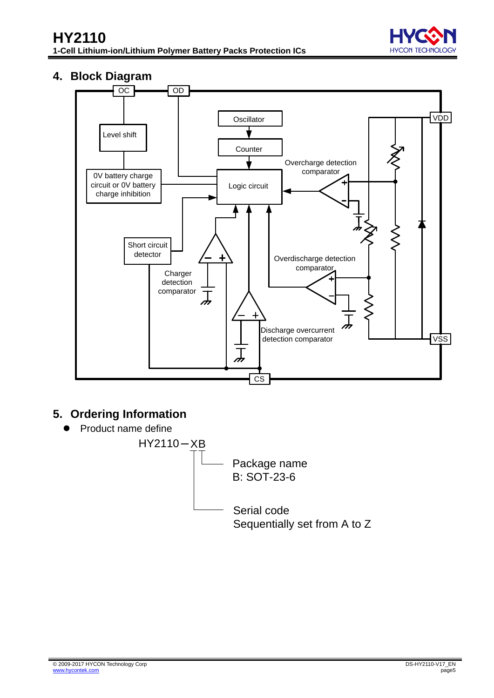## <span id="page-4-0"></span>**4. Block Diagram**



# <span id="page-4-1"></span>**5. Ordering Information**

Product name define



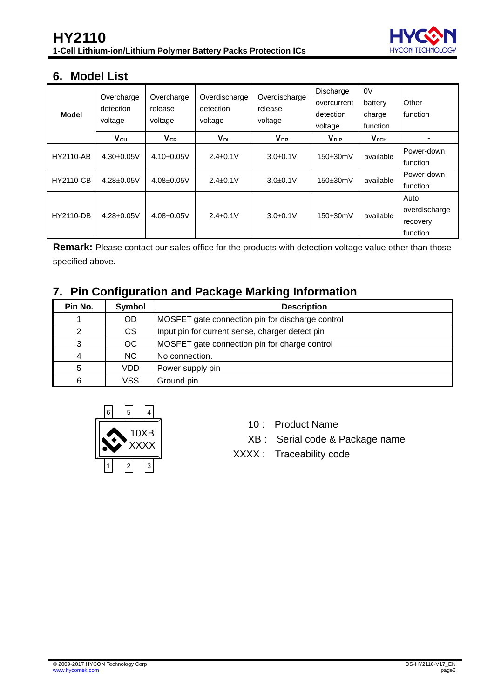

## <span id="page-5-0"></span>**6. Model List**

| <b>Model</b>     | Overcharge<br>detection<br>voltage | Overcharge<br>release<br>voltage | Overdischarge<br>detection<br>voltage | Overdischarge<br>release<br>voltage | Discharge<br>overcurrent<br>detection<br>voltage | 0V<br>battery<br>charge<br>function | Other<br>function                             |
|------------------|------------------------------------|----------------------------------|---------------------------------------|-------------------------------------|--------------------------------------------------|-------------------------------------|-----------------------------------------------|
|                  | Vcu                                | $V_{CR}$                         | V <sub>DL</sub>                       | <b>V</b> <sub>DR</sub>              | $V_{\text{DIP}}$                                 | $V_{OCH}$                           | -                                             |
| <b>HY2110-AB</b> | $4.30+0.05V$                       | $4.10+0.05V$                     | $2.4 + 0.1V$                          | $3.0 + 0.1V$                        | $150\pm30$ mV                                    | available                           | Power-down<br>function                        |
| <b>HY2110-CB</b> | $4.28 + 0.05V$                     | $4.08 \pm 0.05$ V                | $2.4 + 0.1V$                          | $3.0 + 0.1V$                        | $150\pm30$ mV                                    | available                           | Power-down<br>function                        |
| <b>HY2110-DB</b> | $4.28 + 0.05V$                     | $4.08 + 0.05V$                   | $2.4 + 0.1V$                          | $3.0 + 0.1V$                        | $150\pm30$ mV                                    | available                           | Auto<br>overdischarge<br>recovery<br>function |

**Remark:** Please contact our sales office for the products with detection voltage value other than those specified above.

## <span id="page-5-1"></span>**7. Pin Configuration and Package Marking Information**

| Pin No. | <b>Symbol</b> | <b>Description</b>                               |
|---------|---------------|--------------------------------------------------|
|         | <b>OD</b>     | MOSFET gate connection pin for discharge control |
|         | <b>CS</b>     | Input pin for current sense, charger detect pin  |
| ົ       | <b>OC</b>     | MOSFET gate connection pin for charge control    |
|         | <b>NC</b>     | No connection.                                   |
| 5       | VDD           | Power supply pin                                 |
| 6       | <b>VSS</b>    | Ground pin                                       |

<span id="page-5-2"></span>

- 10 : Product Name
- XB : Serial code & Package name
- XXXX : Traceability code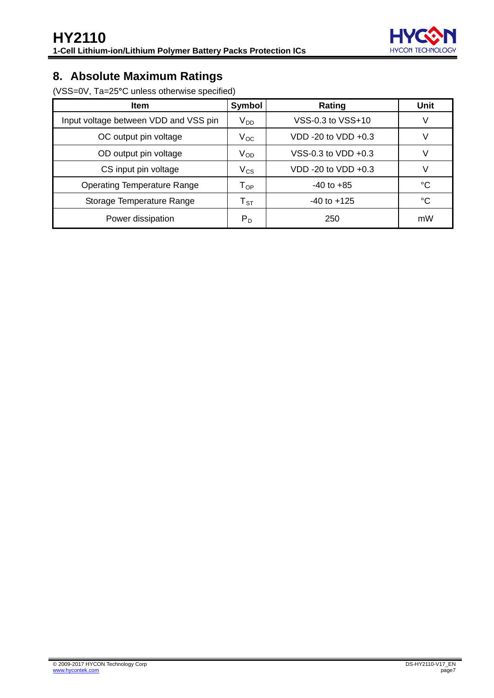

# **8. Absolute Maximum Ratings**

(VSS=0V, Ta=25**°**C unless otherwise specified)

| <b>Item</b>                           | Symbol                     | Rating                | Unit |
|---------------------------------------|----------------------------|-----------------------|------|
| Input voltage between VDD and VSS pin | $V_{DD}$                   | VSS-0.3 to VSS+10     | V    |
| OC output pin voltage                 | $V_{OC}$                   | VDD -20 to VDD $+0.3$ | V    |
| OD output pin voltage                 | $V_{OD}$                   | VSS-0.3 to VDD +0.3   | V    |
| CS input pin voltage                  | $V_{CS}$                   | VDD -20 to VDD +0.3   | V    |
| <b>Operating Temperature Range</b>    | $\mathsf{T}_{\mathsf{OP}}$ | $-40$ to $+85$        | °C   |
| Storage Temperature Range             | $T_{\textrm{ST}}$          | $-40$ to $+125$       | °C   |
| Power dissipation                     | $P_D$                      | 250                   | mW   |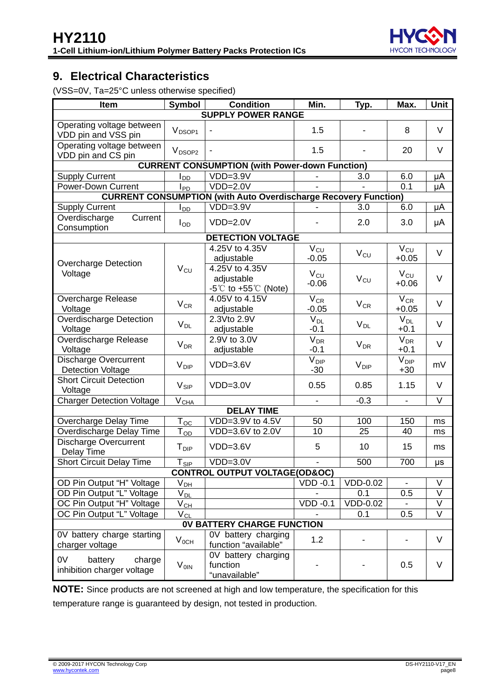

## <span id="page-7-0"></span>**9. Electrical Characteristics**

(VSS=0V, Ta=25°C unless otherwise specified)

| Item                                                  | Symbol                       | <b>Condition</b>                                                         | Min.                             | Typ.                  | Max.                           | Unit   |  |  |  |  |
|-------------------------------------------------------|------------------------------|--------------------------------------------------------------------------|----------------------------------|-----------------------|--------------------------------|--------|--|--|--|--|
| <b>SUPPLY POWER RANGE</b>                             |                              |                                                                          |                                  |                       |                                |        |  |  |  |  |
| Operating voltage between<br>VDD pin and VSS pin      | V <sub>DSOP1</sub>           |                                                                          | 1.5                              | $\blacksquare$        | 8                              | $\vee$ |  |  |  |  |
| Operating voltage between<br>VDD pin and CS pin       | V <sub>DSOP2</sub>           |                                                                          | 1.5                              |                       | 20                             | V      |  |  |  |  |
|                                                       |                              | <b>CURRENT CONSUMPTION (with Power-down Function)</b>                    |                                  |                       |                                |        |  |  |  |  |
| <b>Supply Current</b>                                 | l <sub>DD</sub>              | $VDD=3.9V$                                                               |                                  | 3.0                   | 6.0                            | μA     |  |  |  |  |
| Power-Down Current                                    | $I_{PD}$                     | $VDD=2.0V$                                                               |                                  |                       | 0.1                            | μA     |  |  |  |  |
|                                                       |                              | <b>CURRENT CONSUMPTION (with Auto Overdischarge Recovery Function)</b>   |                                  |                       |                                |        |  |  |  |  |
| <b>Supply Current</b>                                 | $I_{DD}$                     | $VDD=3.9V$                                                               |                                  | 3.0                   | 6.0                            | μA     |  |  |  |  |
| Current<br>Overdischarge<br>Consumption               | $I_{OD}$                     | $VDD=2.0V$                                                               |                                  | 2.0                   | 3.0                            | μA     |  |  |  |  |
|                                                       |                              | <b>DETECTION VOLTAGE</b>                                                 |                                  |                       |                                |        |  |  |  |  |
| <b>Overcharge Detection</b>                           |                              | 4.25V to 4.35V<br>adjustable                                             | $V_{CU}$<br>$-0.05$              | $V_{CU}$              | $V_{CU}$<br>$+0.05$            | $\vee$ |  |  |  |  |
| Voltage                                               | $V_{CU}$                     | 4.25V to 4.35V<br>adjustable<br>$-5^{\circ}$ C to $+55^{\circ}$ C (Note) | $V_{CU}$<br>$-0.06$              | $V_{CU}$              | $V_{\text{CU}}$<br>$+0.06$     | $\vee$ |  |  |  |  |
| Overcharge Release<br>Voltage                         | $V_{CR}$                     | 4.05V to 4.15V<br>adjustable                                             | $V_{CR}$<br>$-0.05$              | $V_{CR}$              | $\overline{V}_{CR}$<br>$+0.05$ | $\vee$ |  |  |  |  |
| <b>Overdischarge Detection</b><br>Voltage             | $V_{DL}$                     | 2.3Vto 2.9V<br>adjustable                                                | $V_{DL}$<br>$-0.1$               | $V_{DL}$              | $V_{DL}$<br>$+0.1$             | $\vee$ |  |  |  |  |
| Overdischarge Release<br>Voltage                      | $V_{DR}$                     | 2.9V to 3.0V<br>adjustable                                               | V <sub>DR</sub><br>$-0.1$        | <b>V<sub>DR</sub></b> | V <sub>DR</sub><br>$+0.1$      | $\vee$ |  |  |  |  |
| Discharge Overcurrent<br><b>Detection Voltage</b>     | $V_{\text{DIP}}$             | $VDD=3.6V$                                                               | <b>V</b> <sub>DIP</sub><br>$-30$ | $V_{\text{DIP}}$      | V <sub>DIP</sub><br>$+30$      | mV     |  |  |  |  |
| <b>Short Circuit Detection</b><br>Voltage             | $V_{\text{SIP}}$             | $VDD=3.0V$                                                               | 0.55                             | 0.85                  | 1.15                           | $\vee$ |  |  |  |  |
| <b>Charger Detection Voltage</b>                      | $V_{CLA}$                    |                                                                          |                                  | $-0.3$                | $\qquad \qquad \blacksquare$   | $\vee$ |  |  |  |  |
|                                                       |                              | <b>DELAY TIME</b>                                                        |                                  |                       |                                |        |  |  |  |  |
| Overcharge Delay Time                                 | $T_{0C}$                     | VDD=3.9V to 4.5V                                                         | 50                               | 100                   | 150                            | ms     |  |  |  |  |
| Overdischarge Delay Time                              | $\mathsf{T}_{\mathsf{OD}}$   | VDD=3.6V to 2.0V                                                         | 10                               | 25                    | 40                             | ms     |  |  |  |  |
| <b>Discharge Overcurrent</b><br>Delay Time            | T <sub>DIP</sub>             | $VDD=3.6V$                                                               | 5                                | 10                    | 15                             | ms     |  |  |  |  |
| <b>Short Circuit Delay Time</b>                       | $T_{\underline{\text{SIP}}}$ | $VDD=3.0V$                                                               | $\blacksquare$                   | 500                   | 700                            | μs     |  |  |  |  |
|                                                       |                              | <b>CONTROL OUTPUT VOLTAGE(OD&amp;OC)</b>                                 |                                  |                       |                                |        |  |  |  |  |
| OD Pin Output "H" Voltage                             | $V_{DH}$                     |                                                                          | $VDD -0.1$                       | <b>VDD-0.02</b>       |                                | V      |  |  |  |  |
| OD Pin Output "L" Voltage                             | $V_{DL}$                     |                                                                          |                                  | 0.1                   | 0.5                            | V      |  |  |  |  |
| OC Pin Output "H" Voltage                             | $V_{CL}$                     |                                                                          | $VDD -0.1$                       | $VDD-0.02$            |                                | V      |  |  |  |  |
| OC Pin Output "L" Voltage                             | $V_{CL}$                     |                                                                          |                                  | 0.1                   | 0.5                            | V      |  |  |  |  |
|                                                       |                              | <b>OV BATTERY CHARGE FUNCTION</b>                                        |                                  |                       |                                |        |  |  |  |  |
| OV battery charge starting<br>charger voltage         | $V_{0CH}$                    | $\overline{0V}$ battery charging<br>function "available"                 | 1.2                              |                       |                                | V      |  |  |  |  |
| 0V<br>battery<br>charge<br>inhibition charger voltage | $V_{OIN}$                    | 0V battery charging<br>function<br>"unavailable"                         |                                  |                       | 0.5                            | V      |  |  |  |  |

**NOTE:** Since products are not screened at high and low temperature, the specification for this temperature range is guaranteed by design, not tested in production.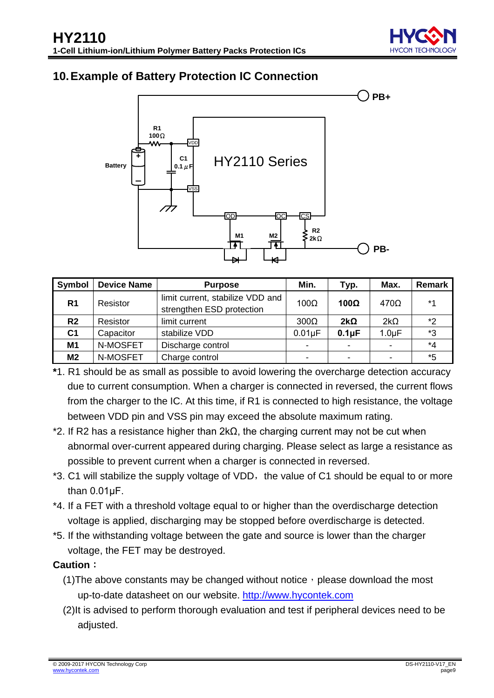

## <span id="page-8-0"></span>**10.Example of Battery Protection IC Connection**



| Symbol         | <b>Device Name</b> | <b>Purpose</b>                                                | Min.           | Typ.           | Max.        | Remark  |
|----------------|--------------------|---------------------------------------------------------------|----------------|----------------|-------------|---------|
| R <sub>1</sub> | Resistor           | limit current, stabilize VDD and<br>strengthen ESD protection | $100\Omega$    | 100 $\Omega$   | $470\Omega$ | $*1$    |
| R <sub>2</sub> | Resistor           | limit current                                                 | $300\Omega$    | $2k\Omega$     | $2k\Omega$  | *2      |
| C <sub>1</sub> | Capacitor          | stabilize VDD                                                 | $0.01\mu F$    | $0.1\mu F$     | $1.0 \mu F$ | *3      |
| M1             | N-MOSFET           | Discharge control                                             | $\blacksquare$ |                |             | $*_{4}$ |
| M2             | N-MOSFET           | Charge control                                                | $\blacksquare$ | $\blacksquare$ |             | *5      |

- **\***1. R1 should be as small as possible to avoid lowering the overcharge detection accuracy due to current consumption. When a charger is connected in reversed, the current flows from the charger to the IC. At this time, if R1 is connected to high resistance, the voltage between VDD pin and VSS pin may exceed the absolute maximum rating.
- \*2. If R2 has a resistance higher than 2kΩ, the charging current may not be cut when abnormal over-current appeared during charging. Please select as large a resistance as possible to prevent current when a charger is connected in reversed.
- \*3. C1 will stabilize the supply voltage of VDD, the value of C1 should be equal to or more than 0.01μF.
- \*4. If a FET with a threshold voltage equal to or higher than the overdischarge detection voltage is applied, discharging may be stopped before overdischarge is detected.
- \*5. If the withstanding voltage between the gate and source is lower than the charger voltage, the FET may be destroyed.

#### **Caution**:

- (1) The above constants may be changed without notice, please download the most up-to-date datasheet on our website. [http://www.hycontek.com](http://www.hycontek.com/)
- (2)It is advised to perform thorough evaluation and test if peripheral devices need to be adjusted.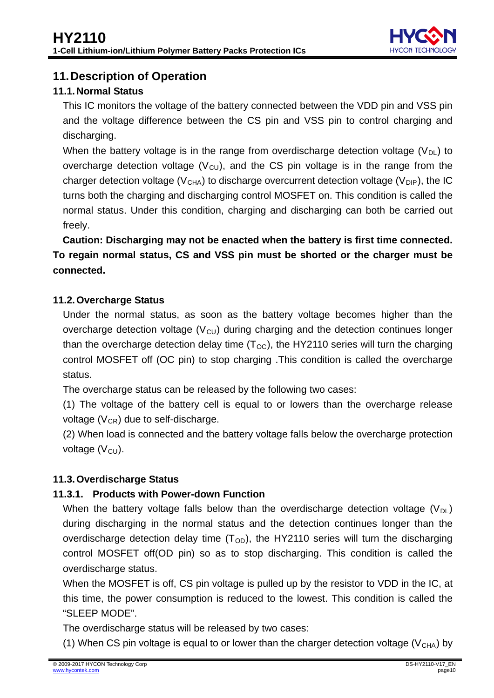

## <span id="page-9-0"></span>**11.Description of Operation**

### <span id="page-9-1"></span>**11.1.Normal Status**

This IC monitors the voltage of the battery connected between the VDD pin and VSS pin and the voltage difference between the CS pin and VSS pin to control charging and discharging.

When the battery voltage is in the range from overdischarge detection voltage  $(V_{DL})$  to overcharge detection voltage  $(V<sub>CU</sub>)$ , and the CS pin voltage is in the range from the charger detection voltage (V<sub>CHA</sub>) to discharge overcurrent detection voltage (V<sub>DIP</sub>), the IC turns both the charging and discharging control MOSFET on. This condition is called the normal status. Under this condition, charging and discharging can both be carried out freely.

**Caution: Discharging may not be enacted when the battery is first time connected. To regain normal status, CS and VSS pin must be shorted or the charger must be connected.**

#### <span id="page-9-2"></span>**11.2.Overcharge Status**

Under the normal status, as soon as the battery voltage becomes higher than the overcharge detection voltage  $(V<sub>CU</sub>)$  during charging and the detection continues longer than the overcharge detection delay time (T<sub>OC</sub>), the HY2110 series will turn the charging control MOSFET off (OC pin) to stop charging .This condition is called the overcharge status.

The overcharge status can be released by the following two cases:

(1) The voltage of the battery cell is equal to or lowers than the overcharge release voltage  $(\mathsf{V}_{\texttt{CR}})$  due to self-discharge.

(2) When load is connected and the battery voltage falls below the overcharge protection voltage (V<sub>CU</sub>).

#### <span id="page-9-3"></span>**11.3.Overdischarge Status**

#### **11.3.1. Products with Power-down Function**

When the battery voltage falls below than the overdischarge detection voltage  $(V_{DL})$ during discharging in the normal status and the detection continues longer than the overdischarge detection delay time  $(T<sub>OD</sub>)$ , the HY2110 series will turn the discharging control MOSFET off(OD pin) so as to stop discharging. This condition is called the overdischarge status.

When the MOSFET is off, CS pin voltage is pulled up by the resistor to VDD in the IC, at this time, the power consumption is reduced to the lowest. This condition is called the "SLEEP MODE".

The overdischarge status will be released by two cases:

(1) When CS pin voltage is equal to or lower than the charger detection voltage ( $V_{\text{CHA}}$ ) by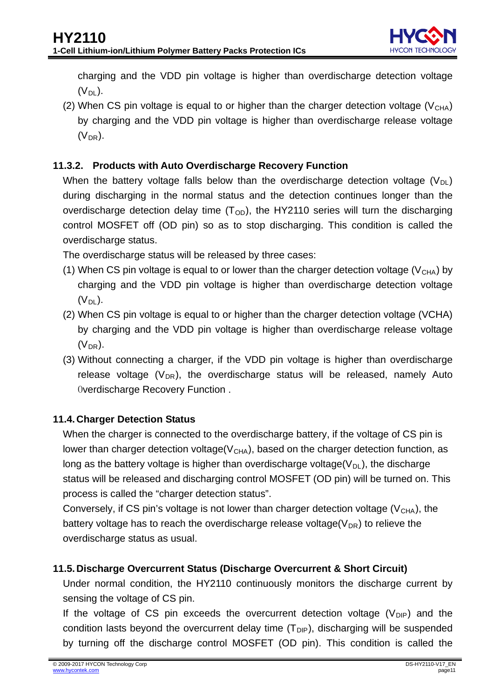charging and the VDD pin voltage is higher than overdischarge detection voltage (V<sub>DL</sub>).

(2) When CS pin voltage is equal to or higher than the charger detection voltage  $(V_{\text{CHA}})$ by charging and the VDD pin voltage is higher than overdischarge release voltage  $(V_{DR})$ .

## **11.3.2. Products with Auto Overdischarge Recovery Function**

When the battery voltage falls below than the overdischarge detection voltage  $(V_{\text{DL}})$ during discharging in the normal status and the detection continues longer than the overdischarge detection delay time  $(T<sub>OD</sub>)$ , the HY2110 series will turn the discharging control MOSFET off (OD pin) so as to stop discharging. This condition is called the overdischarge status.

The overdischarge status will be released by three cases:

- (1) When CS pin voltage is equal to or lower than the charger detection voltage  $(V<sub>CHA</sub>)$  by charging and the VDD pin voltage is higher than overdischarge detection voltage (V<sub>DL</sub>).
- (2) When CS pin voltage is equal to or higher than the charger detection voltage (VCHA) by charging and the VDD pin voltage is higher than overdischarge release voltage (V DR ).
- (3) Without connecting a charger, if the VDD pin voltage is higher than overdischarge release voltage  $(V_{DR})$ , the overdischarge status will be released, namely Auto Overdischarge Recovery Function .

#### <span id="page-10-0"></span>**11.4.Charger Detection Status**

When the charger is connected to the overdischarge battery, if the voltage of CS pin is lower than charger detection voltage( $V_{\text{CHA}}$ ), based on the charger detection function, as long as the battery voltage is higher than overdischarge voltage( $\mathsf{V}_{\mathsf{DL}}$ ), the discharge status will be released and discharging control MOSFET (OD pin) will be turned on. This process is called the "charger detection status".

Conversely, if CS pin's voltage is not lower than charger detection voltage ( $V_{\rm CHA}$ ), the battery voltage has to reach the overdischarge release voltage( $V_{DR}$ ) to relieve the overdischarge status as usual.

#### <span id="page-10-1"></span>**11.5.Discharge Overcurrent Status (Discharge Overcurrent & Short Circuit)**

Under normal condition, the HY2110 continuously monitors the discharge current by sensing the voltage of CS pin.

If the voltage of CS pin exceeds the overcurrent detection voltage  $(V_{\text{DIP}})$  and the condition lasts beyond the overcurrent delay time  $(T_{\text{DIP}})$ , discharging will be suspended by turning off the discharge control MOSFET (OD pin). This condition is called the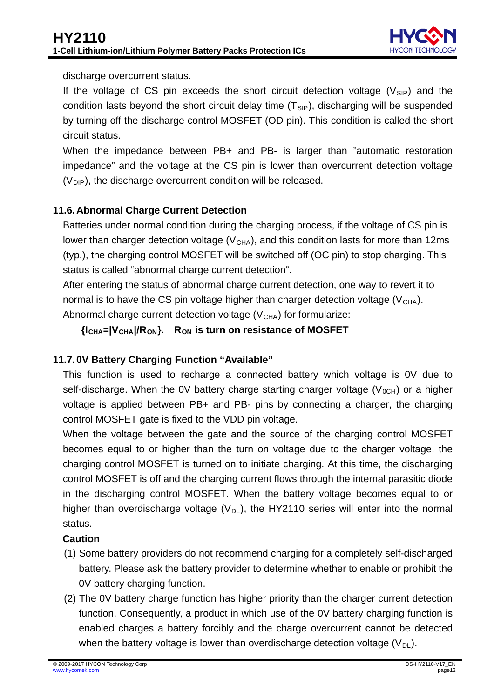

discharge overcurrent status.

If the voltage of CS pin exceeds the short circuit detection voltage  $(V_{\text{SIP}})$  and the condition lasts beyond the short circuit delay time  $(T_{\text{SIP}})$ , discharging will be suspended by turning off the discharge control MOSFET (OD pin). This condition is called the short circuit status.

When the impedance between PB+ and PB- is larger than "automatic restoration impedance" and the voltage at the CS pin is lower than overcurrent detection voltage  $(V_{\text{DIP}})$ , the discharge overcurrent condition will be released.

## <span id="page-11-0"></span>**11.6.Abnormal Charge Current Detection**

Batteries under normal condition during the charging process, if the voltage of CS pin is lower than charger detection voltage ( $V_{\text{CHA}}$ ), and this condition lasts for more than 12ms (typ.), the charging control MOSFET will be switched off (OC pin) to stop charging. This status is called "abnormal charge current detection".

After entering the status of abnormal charge current detection, one way to revert it to normal is to have the CS pin voltage higher than charger detection voltage  $(V_{\text{CHA}})$ . Abnormal charge current detection voltage (V<sub>CHA</sub>) for formularize:

**{I CHA=|VCHA|/RON}. RON is turn on resistance of MOSFET**

## <span id="page-11-1"></span>**11.7. 0V Battery Charging Function "Available"**

This function is used to recharge a connected battery which voltage is 0V due to self-discharge. When the OV battery charge starting charger voltage  $(V_{0CH})$  or a higher voltage is applied between PB+ and PB- pins by connecting a charger, the charging control MOSFET gate is fixed to the VDD pin voltage.

When the voltage between the gate and the source of the charging control MOSFET becomes equal to or higher than the turn on voltage due to the charger voltage, the charging control MOSFET is turned on to initiate charging. At this time, the discharging control MOSFET is off and the charging current flows through the internal parasitic diode in the discharging control MOSFET. When the battery voltage becomes equal to or higher than overdischarge voltage  $(V_{DL})$ , the HY2110 series will enter into the normal status.

#### **Caution**

- (1) Some battery providers do not recommend charging for a completely self-discharged battery. Please ask the battery provider to determine whether to enable or prohibit the 0V battery charging function.
- (2) The 0V battery charge function has higher priority than the charger current detection function. Consequently, a product in which use of the 0V battery charging function is enabled charges a battery forcibly and the charge overcurrent cannot be detected when the battery voltage is lower than overdischarge detection voltage  $(V_{DL})$ .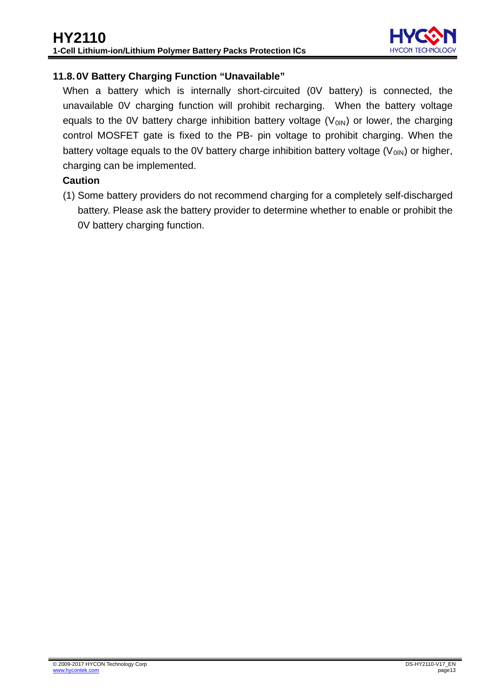

#### <span id="page-12-0"></span>**11.8. 0V Battery Charging Function "Unavailable"**

When a battery which is internally short-circuited (0V battery) is connected, the unavailable 0V charging function will prohibit recharging. When the battery voltage equals to the 0V battery charge inhibition battery voltage  $(V<sub>01N</sub>)$  or lower, the charging control MOSFET gate is fixed to the PB- pin voltage to prohibit charging. When the battery voltage equals to the 0V battery charge inhibition battery voltage (V<sub>0IN</sub>) or higher, charging can be implemented.

#### **Caution**

(1) Some battery providers do not recommend charging for a completely self-discharged battery. Please ask the battery provider to determine whether to enable or prohibit the 0V battery charging function.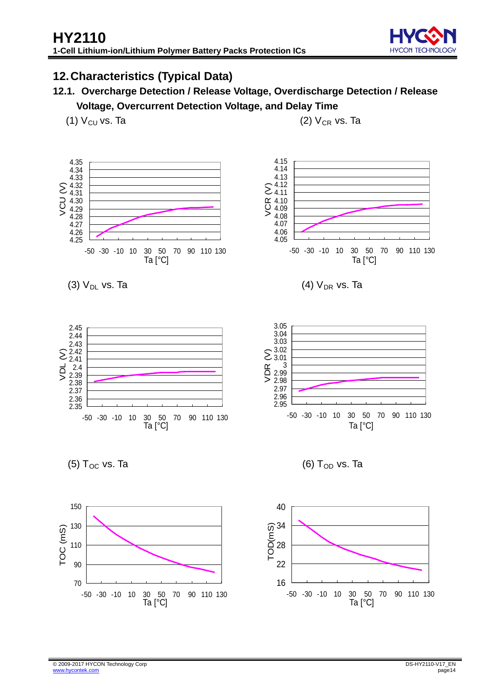

## <span id="page-13-0"></span>**12.Characteristics (Typical Data)**

- **12.1. Overcharge Detection / Release Voltage, Overdischarge Detection / Release Voltage, Overcurrent Detection Voltage, and Delay Time**
	- (1)  $V_{CU}$  vs. Ta

 $(2)$   $V_{CR}$  vs. Ta

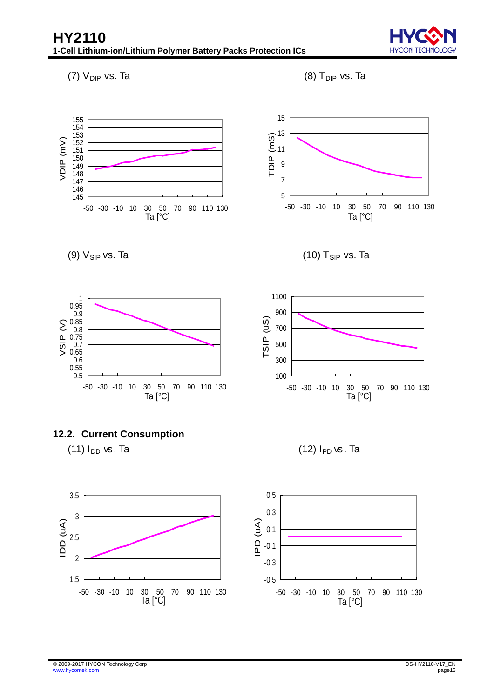**HYCON** 

(7)  $V_{DIP}$  vs. Ta











(11)  $I_{DD}$  vs. Ta



(10)  $T_{SIP}$  vs. Ta



 $(12)$   $I_{PD}$  vs. Ta



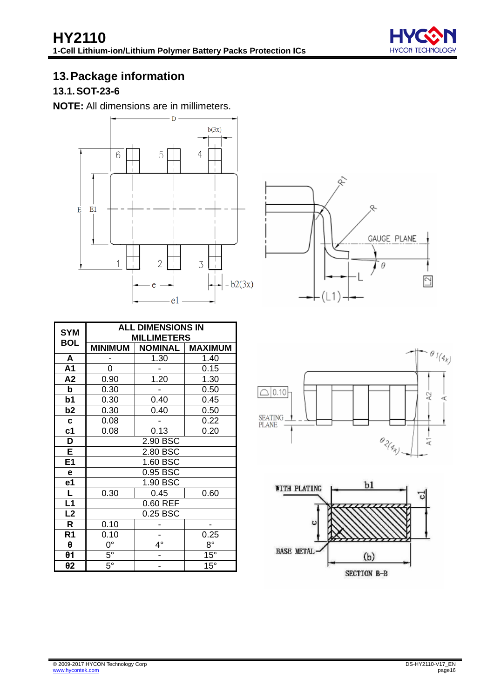

# <span id="page-15-0"></span>**13.Package information**

## <span id="page-15-1"></span>**13.1.SOT-23-6**

**NOTE:** All dimensions are in millimeters.





| <b>SYM</b>              |                | <b>ALL DIMENSIONS IN</b> |                |
|-------------------------|----------------|--------------------------|----------------|
| <b>BOL</b>              |                | <b>MILLIMETERS</b>       |                |
|                         | <b>MINIMUM</b> | <b>NOMINAL</b>           | <b>MAXIMUM</b> |
| A                       |                | 1.30                     | 1.40           |
| A1                      | 0              |                          | 0.15           |
| A2                      | 0.90           | 1.20                     | 1.30           |
| b                       | 0.30           |                          | 0.50           |
| b1                      | 0.30           | 0.40                     | 0.45           |
| b <sub>2</sub>          | 0.30           | 0.40                     | 0.50           |
| $\mathbf c$             | 0.08           |                          | 0.22           |
| c <sub>1</sub>          | 0.08           | 0.13                     | 0.20           |
| D                       |                | 2.90 BSC                 |                |
| E                       |                | 2.80 BSC                 |                |
| E <sub>1</sub>          |                | 1.60 BSC                 |                |
| е                       |                | 0.95 BSC                 |                |
| e1                      |                | 1.90 BSC                 |                |
| $\overline{\mathsf{L}}$ | 0.30           | 0.45                     | 0.60           |
| $\overline{L1}$         |                | 0.60 REF                 |                |
| L2                      |                | 0.25 BSC                 |                |
| R                       | 0.10           |                          |                |
| R <sub>1</sub>          | 0.10           |                          | 0.25           |
| θ                       | $0^{\circ}$    | 4°                       | $8^{\circ}$    |
| $\theta$ 1              | $5^\circ$      |                          | $15^\circ$     |
| θ2                      | $5^{\circ}$    |                          | $15^\circ$     |



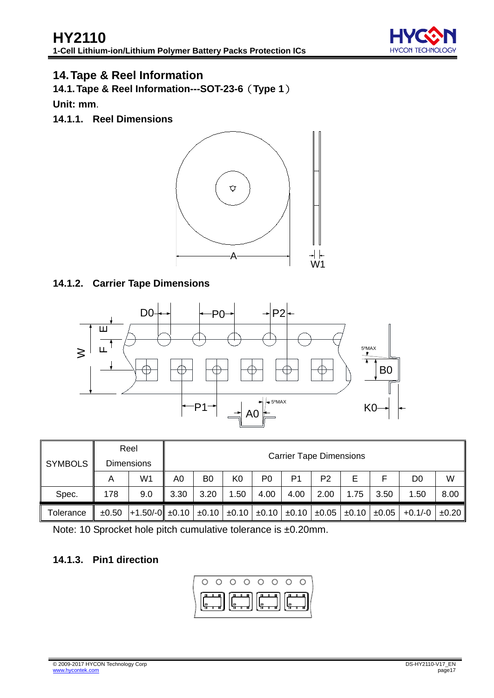

## <span id="page-16-0"></span>**14.Tape & Reel Information**

<span id="page-16-1"></span>**14.1.Tape & Reel Information---SOT-23-6**(**Type 1**)

**Unit: mm**.

**14.1.1. Reel Dimensions** 



#### **14.1.2. Carrier Tape Dimensions**



|                |            | Reel                                           |      |                |                |                       |                | <b>Carrier Tape Dimensions</b> |      |                       |         |       |  |  |
|----------------|------------|------------------------------------------------|------|----------------|----------------|-----------------------|----------------|--------------------------------|------|-----------------------|---------|-------|--|--|
| <b>SYMBOLS</b> |            | <b>Dimensions</b>                              |      |                |                |                       |                |                                |      |                       |         |       |  |  |
|                | Α          | W1                                             | A0   | B <sub>0</sub> | K <sub>0</sub> | P <sub>0</sub>        | P <sub>1</sub> | P <sub>2</sub>                 | Е    | F                     | D0      | W     |  |  |
| Spec.          | 178        | 9.0                                            | 3.30 | 3.20           | 1.50           | 4.00                  | 4.00           | 2.00                           | 1.75 | 3.50                  | 1.50    | 8.00  |  |  |
| Tolerance      | $\pm 0.50$ | $\pm 1.50/-0$ $\pm 0.10$ $\pm 0.10$ $\pm 0.10$ |      |                |                | $\pm 0.10$ $\pm 0.10$ |                | ±0.05                          |      | $\pm 0.10$ $\pm 0.05$ | +0.1/-0 | ±0.20 |  |  |

Note: 10 Sprocket hole pitch cumulative tolerance is ±0.20mm.

#### **14.1.3. Pin1 direction**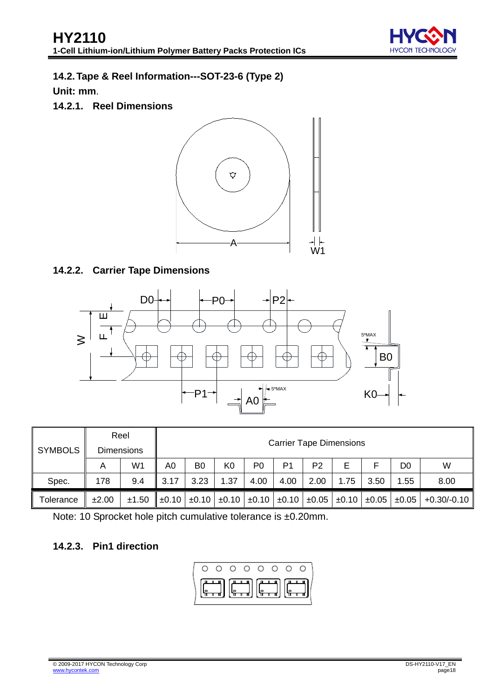

## <span id="page-17-0"></span>**14.2.Tape & Reel Information---SOT-23-6 (Type 2)**

**Unit: mm**.

**14.2.1. Reel Dimensions** 



## **14.2.2. Carrier Tape Dimensions**



| <b>SYMBOLS</b> |       | Reel              |                                |                |                |                |      |                |      |      |                                                                                         |               |
|----------------|-------|-------------------|--------------------------------|----------------|----------------|----------------|------|----------------|------|------|-----------------------------------------------------------------------------------------|---------------|
|                |       | <b>Dimensions</b> | <b>Carrier Tape Dimensions</b> |                |                |                |      |                |      |      |                                                                                         |               |
|                | A     | W1                | A0                             | B <sub>0</sub> | K <sub>0</sub> | P <sub>0</sub> | P1   | P <sub>2</sub> | E.   |      | D0                                                                                      | W             |
| Spec.          | 178   | 9.4               | 3.17                           | 3.23           | 1.37           | 4.00           | 4.00 | 2.00           | 1.75 | 3.50 | .55                                                                                     | 8.00          |
| Tolerance      | ±2.00 | ±1.50             | $\pm 0.10$                     |                |                |                |      |                |      |      | $\pm 0.10$ $\pm 0.10$ $\pm 0.10$ $\pm 0.10$ $\pm 0.05$ $\pm 0.05$ $\pm 0.05$ $\pm 0.05$ | $+0.30/-0.10$ |

Note: 10 Sprocket hole pitch cumulative tolerance is ±0.20mm.

#### **14.2.3. Pin1 direction**

$$
\left(\begin{array}{ccccccccc}\n0 & 0 & 0 & 0 & 0 & 0 & 0 & 0 \\
\hline\n\end{array}\right)
$$